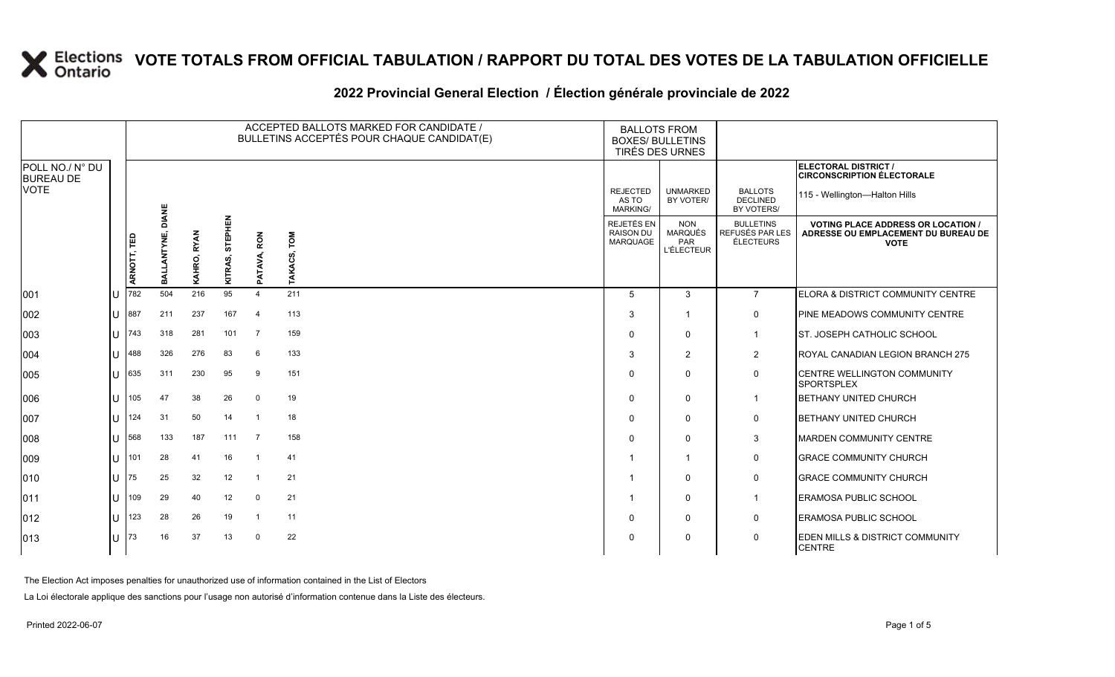### **2022 Provincial General Election / Élection générale provinciale de 2022**

|                                     |              |             |              |             |                    |                | ACCEPTED BALLOTS MARKED FOR CANDIDATE /<br>BULLETINS ACCEPTÉS POUR CHAQUE CANDIDAT(E) | <b>BALLOTS FROM</b><br><b>BOXES/ BULLETINS</b><br>TIRÉS DES URNES |                                                          |                                                         |                                                                                                 |  |
|-------------------------------------|--------------|-------------|--------------|-------------|--------------------|----------------|---------------------------------------------------------------------------------------|-------------------------------------------------------------------|----------------------------------------------------------|---------------------------------------------------------|-------------------------------------------------------------------------------------------------|--|
| POLL NO./ N° DU<br><b>BUREAU DE</b> |              |             |              |             |                    |                |                                                                                       |                                                                   |                                                          |                                                         | ELECTORAL DISTRICT /<br><b>CIRCONSCRIPTION ÉLECTORALE</b>                                       |  |
| <b>VOTE</b>                         |              |             | <b>DIANE</b> |             |                    |                |                                                                                       | <b>REJECTED</b><br>AS TO<br><b>MARKING/</b>                       | <b>UNMARKED</b><br>BY VOTER/                             | <b>BALLOTS</b><br><b>DECLINED</b><br>BY VOTERS/         | 115 - Wellington-Halton Hills                                                                   |  |
|                                     |              | ARNOTT, TED | BALLANTYNE,  | KAHRO, RYAN | STEPHEN<br>KITRAS, | PATAVA, RON    | LOW<br>TAKACS,                                                                        | REJETÉS EN<br><b>RAISON DU</b><br>MARQUAGE                        | <b>NON</b><br><b>MARQUÉS</b><br>PAR<br><b>L'ÉLECTEUR</b> | <b>BULLETINS</b><br>REFUSÉS PAR LES<br><b>ÉLECTEURS</b> | <b>VOTING PLACE ADDRESS OR LOCATION /</b><br>ADRESSE OU EMPLACEMENT DU BUREAU DE<br><b>VOTE</b> |  |
| 001                                 | $\mathbf{U}$ | 782         | 504          | 216         | 95                 | $\overline{4}$ | 211                                                                                   | 5                                                                 | 3                                                        | $\overline{7}$                                          | ELORA & DISTRICT COMMUNITY CENTRE                                                               |  |
| 002                                 |              | $U$ 887     | 211          | 237         | 167                | $\overline{4}$ | 113                                                                                   | 3                                                                 | $\overline{\mathbf{1}}$                                  | $\mathbf 0$                                             | PINE MEADOWS COMMUNITY CENTRE                                                                   |  |
| 003                                 | lU           | 743         | 318          | 281         | 101                | $\overline{7}$ | 159                                                                                   | $\Omega$                                                          | $\mathbf 0$                                              | $\overline{1}$                                          | <b>ST. JOSEPH CATHOLIC SCHOOL</b>                                                               |  |
| 004                                 | U            | 488         | 326          | 276         | 83                 | 6              | 133                                                                                   | 3                                                                 | $\overline{2}$                                           | $\overline{2}$                                          | ROYAL CANADIAN LEGION BRANCH 275                                                                |  |
| 005                                 | U            | 635         | 311          | 230         | 95                 | 9              | 151                                                                                   | $\Omega$                                                          | $\mathbf 0$                                              | $\mathbf 0$                                             | <b>CENTRE WELLINGTON COMMUNITY</b><br><b>SPORTSPLEX</b>                                         |  |
| 006                                 | lU           | 105         | 47           | 38          | 26                 | $\mathbf 0$    | 19                                                                                    | $\Omega$                                                          | 0                                                        | $\overline{1}$                                          | <b>BETHANY UNITED CHURCH</b>                                                                    |  |
| 007                                 | $\mathbf{U}$ | 124         | 31           | 50          | 14                 | -1             | 18                                                                                    | $\Omega$                                                          | $\mathbf 0$                                              | $\mathbf 0$                                             | <b>BETHANY UNITED CHURCH</b>                                                                    |  |
| 008                                 | U            | 568         | 133          | 187         | 111                | $\overline{7}$ | 158                                                                                   | $\Omega$                                                          | $\mathbf 0$                                              | 3                                                       | <b>MARDEN COMMUNITY CENTRE</b>                                                                  |  |
| 009                                 | lu           | 101         | 28           | 41          | 16                 |                | 41                                                                                    |                                                                   | $\overline{\mathbf{1}}$                                  | 0                                                       | <b>GRACE COMMUNITY CHURCH</b>                                                                   |  |
| 010                                 | U            | 175         | 25           | 32          | 12                 | - 1            | 21                                                                                    |                                                                   | $\Omega$                                                 | $\mathsf{O}$                                            | <b>GRACE COMMUNITY CHURCH</b>                                                                   |  |
| 011                                 | lU           | 109         | 29           | 40          | 12                 | $\mathbf 0$    | 21                                                                                    |                                                                   | 0                                                        | $\overline{1}$                                          | <b>ERAMOSA PUBLIC SCHOOL</b>                                                                    |  |
| $ 012\rangle$                       | U            | 123         | 28           | 26          | 19                 | $\mathbf{1}$   | 11                                                                                    | $\Omega$                                                          | $\mathbf 0$                                              | $\mathbf 0$                                             | <b>ERAMOSA PUBLIC SCHOOL</b>                                                                    |  |
| 013                                 | U            | 173         | 16           | 37          | 13                 | $\overline{0}$ | 22                                                                                    | $\Omega$                                                          | $\mathbf 0$                                              | $\mathbf 0$                                             | <b>EDEN MILLS &amp; DISTRICT COMMUNITY</b><br><b>CENTRE</b>                                     |  |

The Election Act imposes penalties for unauthorized use of information contained in the List of Electors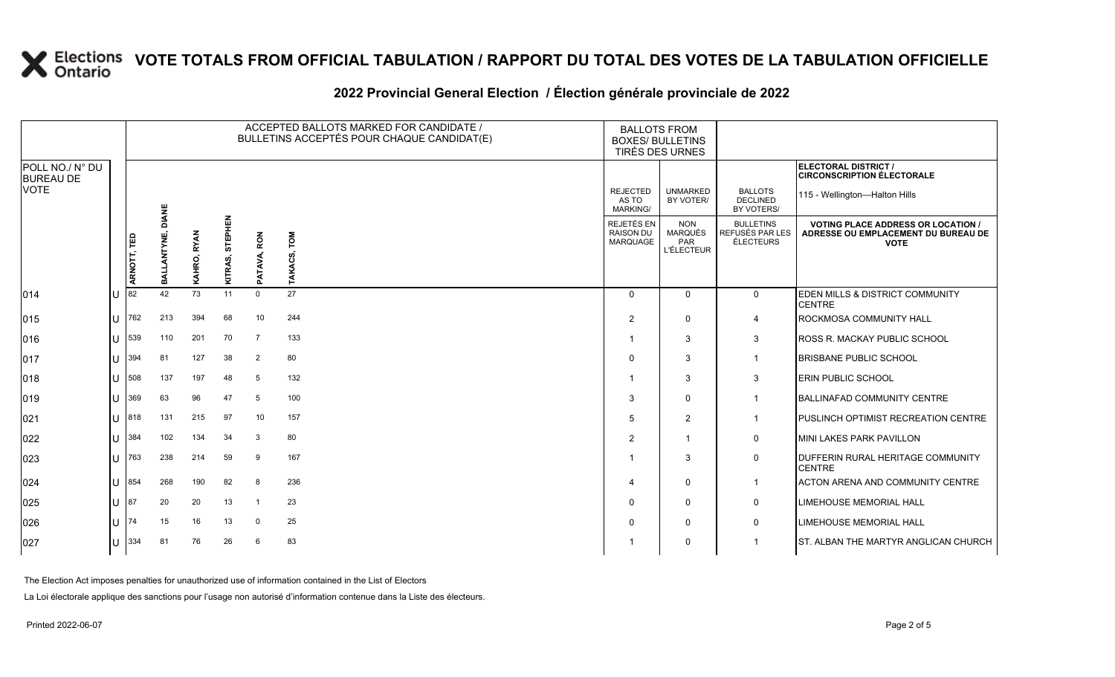### **2022 Provincial General Election / Élection générale provinciale de 2022**

|                                     |    | ACCEPTED BALLOTS MARKED FOR CANDIDATE /<br>BULLETINS ACCEPTÉS POUR CHAQUE CANDIDAT(E) |                 |             |                    |                  |                | <b>BALLOTS FROM</b><br><b>BOXES/ BULLETINS</b><br>TIRÉS DES URNES |                                                          |                                                  |                                                                                                 |
|-------------------------------------|----|---------------------------------------------------------------------------------------|-----------------|-------------|--------------------|------------------|----------------|-------------------------------------------------------------------|----------------------------------------------------------|--------------------------------------------------|-------------------------------------------------------------------------------------------------|
| POLL NO./ N° DU<br><b>BUREAU DE</b> |    |                                                                                       |                 |             |                    |                  |                |                                                                   |                                                          |                                                  | <b>ELECTORAL DISTRICT /</b><br><b>CIRCONSCRIPTION ÉLECTORALE</b>                                |
| <b>VOTE</b>                         |    |                                                                                       | DIANE           |             |                    |                  |                | <b>REJECTED</b><br>AS TO<br><b>MARKING/</b>                       | <b>UNMARKED</b><br>BY VOTER/                             | <b>BALLOTS</b><br><b>DECLINED</b><br>BY VOTERS/  | 115 - Wellington-Halton Hills                                                                   |
|                                     |    | ARNOTT, TED                                                                           | ANTYNE,<br>BALI | KAHRO, RYAN | STEPHEN<br>KITRAS, | ATAVA, RON       | TOM<br>TAKACS, | <b>REJETÉS EN</b><br><b>RAISON DU</b><br><b>MARQUAGE</b>          | <b>NON</b><br><b>MARQUÉS</b><br>PAR<br><b>L'ÉLECTEUR</b> | <b>BULLETINS</b><br>REFUSÉS PAR LES<br>ÉLECTEURS | <b>VOTING PLACE ADDRESS OR LOCATION /</b><br>ADRESSE OU EMPLACEMENT DU BUREAU DE<br><b>VOTE</b> |
| 014                                 | ΙU | 82                                                                                    | 42              | 73          | 11                 | മ<br>$\mathbf 0$ | 27             | $\Omega$                                                          | $\mathbf{0}$                                             | $\mathbf 0$                                      | <b>EDEN MILLS &amp; DISTRICT COMMUNITY</b><br><b>CENTRE</b>                                     |
| $ 015\rangle$                       | hт | 762                                                                                   | 213             | 394         | 68                 | 10               | 244            | $\overline{2}$                                                    | $\Omega$                                                 | $\overline{4}$                                   | <b>ROCKMOSA COMMUNITY HALL</b>                                                                  |
| 016                                 | lU | 539                                                                                   | 110             | 201         | 70                 | $\overline{7}$   | 133            | 1                                                                 | 3                                                        | 3                                                | <b>ROSS R. MACKAY PUBLIC SCHOOL</b>                                                             |
| 017                                 | lθ | 394                                                                                   | 81              | 127         | 38                 | 2                | 80             | $\Omega$                                                          | 3                                                        | $\mathbf 1$                                      | <b>BRISBANE PUBLIC SCHOOL</b>                                                                   |
| $ 018\rangle$                       | IП | 508                                                                                   | 137             | 197         | 48                 | 5                | 132            |                                                                   | 3                                                        | 3                                                | <b>ERIN PUBLIC SCHOOL</b>                                                                       |
| $ 019\rangle$                       | lu | 369                                                                                   | 63              | 96          | 47                 | 5                | 100            | 3                                                                 | $\Omega$                                                 | $\mathbf 1$                                      | <b>BALLINAFAD COMMUNITY CENTRE</b>                                                              |
| 021                                 | IП | 818                                                                                   | 131             | 215         | 97                 | 10               | 157            | 5                                                                 | 2                                                        | $\overline{1}$                                   | <b>IPUSLINCH OPTIMIST RECREATION CENTRE</b>                                                     |
| 022                                 | lu | 384                                                                                   | 102             | 134         | 34                 | $\mathbf{3}$     | 80             | 2                                                                 | 1                                                        | 0                                                | MINI LAKES PARK PAVILLON                                                                        |
| 023                                 | lU | 763                                                                                   | 238             | 214         | 59                 | 9                | 167            | -1                                                                | 3                                                        | 0                                                | DUFFERIN RURAL HERITAGE COMMUNITY<br><b>CENTRE</b>                                              |
| 024                                 | lυ | 854                                                                                   | 268             | 190         | 82                 | 8                | 236            | $\Delta$                                                          | $\Omega$                                                 | $\overline{1}$                                   | ACTON ARENA AND COMMUNITY CENTRE                                                                |
| 025                                 | lθ | 87                                                                                    | 20              | 20          | 13                 |                  | 23             | $\Omega$                                                          | $\Omega$                                                 | 0                                                | <b>LIMEHOUSE MEMORIAL HALL</b>                                                                  |
| 026                                 | ΙU | 74                                                                                    | 15              | 16          | 13                 | $\mathbf 0$      | 25             | 0                                                                 | 0                                                        | 0                                                | <b>LIMEHOUSE MEMORIAL HALL</b>                                                                  |
| 027                                 | lυ | 334                                                                                   | 81              | 76          | 26                 | 6                | 83             |                                                                   | $\Omega$                                                 | 1                                                | ST. ALBAN THE MARTYR ANGLICAN CHURCH                                                            |

The Election Act imposes penalties for unauthorized use of information contained in the List of Electors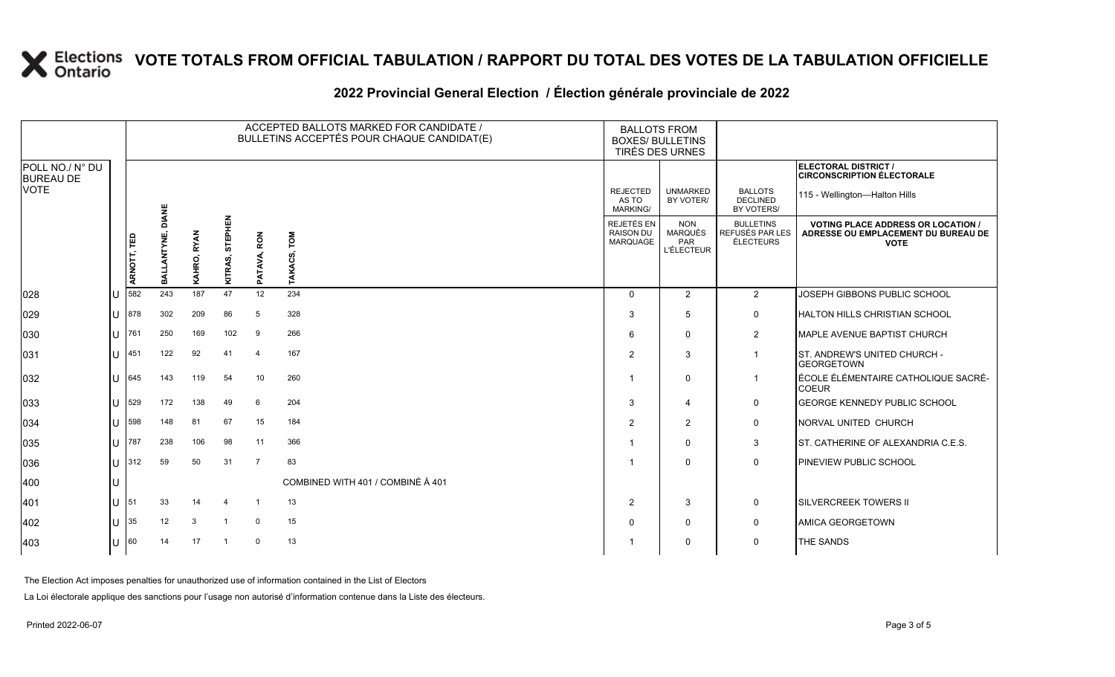## **2022 Provincial General Election / Élection générale provinciale de 2022**

|                                     |     |             |                               |             |                    |                | ACCEPTED BALLOTS MARKED FOR CANDIDATE /<br>BULLETINS ACCEPTÉS POUR CHAQUE CANDIDAT(E) | <b>BALLOTS FROM</b><br><b>BOXES/ BULLETINS</b> | TIRÉS DES URNES                                          |                                                         |                                                                                                 |
|-------------------------------------|-----|-------------|-------------------------------|-------------|--------------------|----------------|---------------------------------------------------------------------------------------|------------------------------------------------|----------------------------------------------------------|---------------------------------------------------------|-------------------------------------------------------------------------------------------------|
| POLL NO./ N° DU<br><b>BUREAU DE</b> |     |             |                               |             |                    |                |                                                                                       |                                                |                                                          |                                                         | ELECTORAL DISTRICT /<br><b>CIRCONSCRIPTION ÉLECTORALE</b>                                       |
| <b>VOTE</b>                         |     |             |                               |             |                    |                |                                                                                       | <b>REJECTED</b><br>AS TO<br><b>MARKING/</b>    | <b>UNMARKED</b><br>BY VOTER/                             | <b>BALLOTS</b><br><b>DECLINED</b><br>BY VOTERS/         | 115 - Wellington-Halton Hills                                                                   |
|                                     |     | ARNOTT, TED | LANTYNE, DIANE<br><b>TIVE</b> | KAHRO, RYAN | STEPHEN<br>KITRAS, | PATAVA, RON    | TOM<br>TAKACS,                                                                        | REJETÉS EN<br><b>RAISON DU</b><br>MARQUAGE     | <b>NON</b><br><b>MARQUÉS</b><br>PAR<br><b>L'ÉLECTEUR</b> | <b>BULLETINS</b><br>REFUSÉS PAR LES<br><b>ÉLECTEURS</b> | <b>VOTING PLACE ADDRESS OR LOCATION /</b><br>ADRESSE OU EMPLACEMENT DU BUREAU DE<br><b>VOTE</b> |
| 028                                 | lU  | 582         | 243                           | 187         | 47                 | 12             | 234                                                                                   | $\Omega$                                       | 2                                                        | $\overline{2}$                                          | JOSEPH GIBBONS PUBLIC SCHOOL                                                                    |
| 029                                 | lu  | 878         | 302                           | 209         | 86                 | 5              | 328                                                                                   | 3                                              | 5                                                        | $\mathbf 0$                                             | HALTON HILLS CHRISTIAN SCHOOL                                                                   |
| 030                                 | Iυ  | 761         | 250                           | 169         | 102                | 9              | 266                                                                                   | 6                                              | $\mathbf 0$                                              | $\overline{2}$                                          | MAPLE AVENUE BAPTIST CHURCH                                                                     |
| 031                                 | Iп  | 451         | 122                           | 92          | 41                 | $\overline{4}$ | 167                                                                                   | 2                                              | 3                                                        | $\overline{1}$                                          | <b>ST. ANDREW'S UNITED CHURCH -</b><br><b>GEORGETOWN</b>                                        |
| 032                                 | lu  | 645         | 143                           | 119         | 54                 | 10             | 260                                                                                   |                                                | $\mathbf 0$                                              |                                                         | ÉCOLE ÉLÉMENTAIRE CATHOLIQUE SACRÉ-<br><b>COEUR</b>                                             |
| 033                                 | lu  | 529         | 172                           | 138         | 49                 | 6              | 204                                                                                   | 3                                              | $\overline{4}$                                           | $\mathbf 0$                                             | <b>GEORGE KENNEDY PUBLIC SCHOOL</b>                                                             |
| 034                                 | lu  | 598         | 148                           | 81          | 67                 | 15             | 184                                                                                   | 2                                              | 2                                                        | $\mathbf 0$                                             | NORVAL UNITED CHURCH                                                                            |
| 035                                 | lu  | 787         | 238                           | 106         | 98                 | 11             | 366                                                                                   |                                                | $\Omega$                                                 | 3                                                       | <b>IST. CATHERINE OF ALEXANDRIA C.E.S.</b>                                                      |
| 036                                 | lu. | 312         | 59                            | 50          | 31                 | $\overline{7}$ | 83                                                                                    |                                                | $\Omega$                                                 | $\mathbf 0$                                             | <b>PINEVIEW PUBLIC SCHOOL</b>                                                                   |
| 400                                 | Iυ  |             |                               |             |                    |                | COMBINED WITH 401 / COMBINÉ À 401                                                     |                                                |                                                          |                                                         |                                                                                                 |
| 401                                 | lu. | 51          | 33                            | 14          |                    |                | 13                                                                                    | 2                                              | 3                                                        | $\mathbf 0$                                             | <b>SILVERCREEK TOWERS II</b>                                                                    |
| 402                                 | Iυ. | 35          | 12                            | 3           | $\overline{1}$     | $\Omega$       | 15                                                                                    |                                                | $\mathbf 0$                                              | $\mathsf{O}$                                            | <b>AMICA GEORGETOWN</b>                                                                         |
| $ 403\rangle$                       | lu  | 60          | 14                            | 17          | $\mathbf{1}$       | $\Omega$       | 13                                                                                    |                                                | $\mathbf 0$                                              | $\mathbf 0$                                             | <b>THE SANDS</b>                                                                                |

The Election Act imposes penalties for unauthorized use of information contained in the List of Electors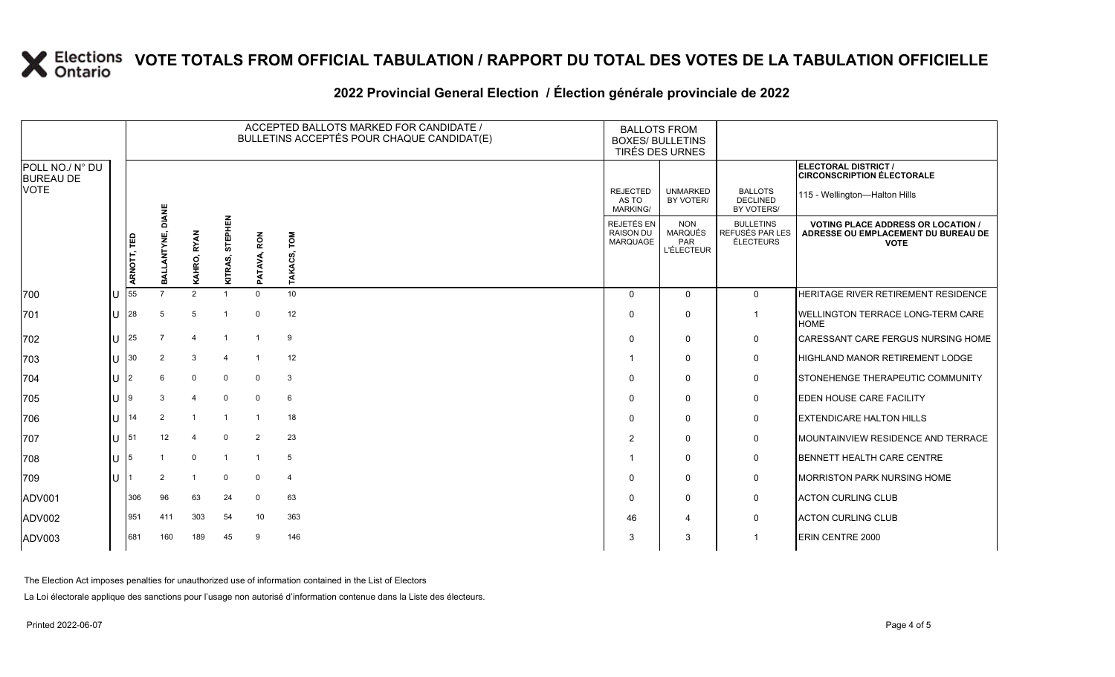### **2022 Provincial General Election / Élection générale provinciale de 2022**

|                                     |                | ACCEPTED BALLOTS MARKED FOR CANDIDATE /<br>BULLETINS ACCEPTÉS POUR CHAQUE CANDIDAT(E) |                |                       |                    |                |                   | <b>BALLOTS FROM</b><br><b>BOXES/ BULLETINS</b><br>TIRÉS DES URNES |                                                   |                                                  |                                                                                                 |
|-------------------------------------|----------------|---------------------------------------------------------------------------------------|----------------|-----------------------|--------------------|----------------|-------------------|-------------------------------------------------------------------|---------------------------------------------------|--------------------------------------------------|-------------------------------------------------------------------------------------------------|
| POLL NO./ N° DU<br><b>BUREAU DE</b> |                |                                                                                       |                |                       |                    |                |                   |                                                                   |                                                   |                                                  | ELECTORAL DISTRICT /<br><b>CIRCONSCRIPTION ÉLECTORALE</b>                                       |
| <b>VOTE</b>                         |                |                                                                                       | <b>DIANE</b>   |                       |                    |                |                   | <b>REJECTED</b><br>AS TO<br>MARKING/                              | <b>UNMARKED</b><br>BY VOTER/                      | <b>BALLOTS</b><br><b>DECLINED</b><br>BY VOTERS/  | 115 - Wellington-Halton Hills                                                                   |
|                                     |                | ARNOTT, TED                                                                           | മ്             | <b>RYAN</b><br>KAHRO, | STEPHEN<br>KITRAS, | PATAVA, RON    | LOW<br>ဖ္ပ<br>AKA | REJETÉS EN<br>RAISON DU<br>MARQUAGE                               | <b>NON</b><br>MARQUÉS<br>PAR<br><b>L'ÉLECTEUR</b> | <b>BULLETINS</b><br>REFUSÉS PAR LES<br>ÉLECTEURS | <b>VOTING PLACE ADDRESS OR LOCATION /</b><br>ADRESSE OU EMPLACEMENT DU BUREAU DE<br><b>VOTE</b> |
| 700                                 |                | 55                                                                                    |                | 2                     |                    | $\Omega$       | 10 <sup>1</sup>   | $\Omega$                                                          | $\Omega$                                          | $\mathbf 0$                                      | <b>HERITAGE RIVER RETIREMENT RESIDENCE</b>                                                      |
| 701                                 | $\cup$         | 28                                                                                    | 5              | 5                     |                    | $\Omega$       | 12                | $\Omega$                                                          | $\mathbf 0$                                       | $\mathbf{1}$                                     | <b>IWELLINGTON TERRACE LONG-TERM CARE</b><br><b>HOME</b>                                        |
| 702                                 | $\cup$         | l 25                                                                                  |                |                       |                    |                | 9                 | $\Omega$                                                          | $\mathbf 0$                                       | 0                                                | CARESSANT CARE FERGUS NURSING HOME                                                              |
| 703                                 | $\cup$         | 30                                                                                    | $\overline{2}$ | 3                     |                    | $\overline{1}$ | 12                |                                                                   | $\mathbf{0}$                                      | $\mathbf 0$                                      | HIGHLAND MANOR RETIREMENT LODGE                                                                 |
| 704                                 | U              | 12                                                                                    | 6              | $\mathbf 0$           | $\mathbf 0$        | $\mathbf 0$    | $\mathbf{3}$      | $\Omega$                                                          | $\mathbf{0}$                                      | 0                                                | STONEHENGE THERAPEUTIC COMMUNITY                                                                |
| 705                                 | $\cup$         | 19                                                                                    | 3              | $\overline{4}$        | $\Omega$           | $\Omega$       | 6                 | $\Omega$                                                          | $\mathbf{0}$                                      | 0                                                | <b>EDEN HOUSE CARE FACILITY</b>                                                                 |
| 706                                 | $\overline{U}$ | 14                                                                                    | 2              |                       |                    |                | 18                | $\Omega$                                                          | $\mathbf 0$                                       | 0                                                | <b>EXTENDICARE HALTON HILLS</b>                                                                 |
| 707                                 | $\cup$         | 151                                                                                   | 12             | $\overline{4}$        | $\Omega$           | 2              | 23                | $\overline{2}$                                                    | $\mathbf 0$                                       | 0                                                | MOUNTAINVIEW RESIDENCE AND TERRACE                                                              |
| 708                                 | U              | 15                                                                                    |                | $\mathbf 0$           |                    | $\overline{1}$ | $5\phantom{.0}$   |                                                                   | $\mathbf{0}$                                      | 0                                                | BENNETT HEALTH CARE CENTRE                                                                      |
| 709                                 | $\mathbf{I}$   |                                                                                       | 2              |                       | $\Omega$           | $\mathbf 0$    | $\overline{4}$    | $\Omega$                                                          | $\mathbf 0$                                       | $\mathbf 0$                                      | <b>MORRISTON PARK NURSING HOME</b>                                                              |
| ADV001                              |                | 306                                                                                   | 96             | 63                    | 24                 | $\Omega$       | 63                | $\Omega$                                                          | $\mathbf 0$                                       | 0                                                | <b>ACTON CURLING CLUB</b>                                                                       |
| ADV002                              |                | 951                                                                                   | 411            | 303                   | 54                 | 10             | 363               | 46                                                                | $\overline{4}$                                    | 0                                                | <b>ACTON CURLING CLUB</b>                                                                       |
| ADV003                              |                | 681                                                                                   | 160            | 189                   | 45                 | 9              | 146               | 3                                                                 | 3                                                 | $\mathbf 1$                                      | <b>ERIN CENTRE 2000</b>                                                                         |

The Election Act imposes penalties for unauthorized use of information contained in the List of Electors